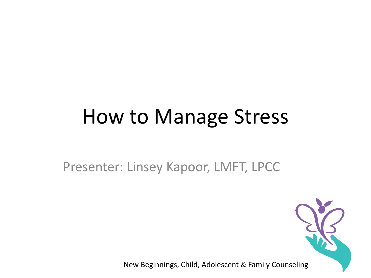## How to Manage Stress

Presenter: Linsey Kapoor, LMFT, LPCC

New Beginnings, Child, Adolescent & Family Counseling 1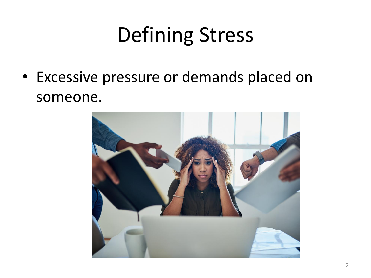# Defining Stress

• Excessive pressure or demands placed on someone.

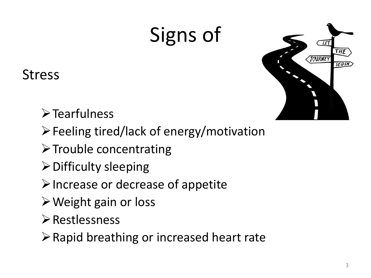# Signs of



Stress

➢Tearfulness

➢Feeling tired/lack of energy/motivation

- ➢Trouble concentrating
- ➢Difficulty sleeping
- $\triangleright$  Increase or decrease of appetite
- ➢Weight gain or loss
- ➢Restlessness

➢Rapid breathing or increased heart rate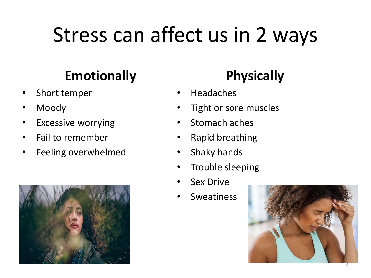# Stress can affect us in 2 ways

### **Emotionally**

- Short temper
- Moody
- **Excessive worrying**
- Fail to remember
- Feeling overwhelmed



### **Physically**

- Headaches
- Tight or sore muscles
- Stomach aches
- Rapid breathing
- Shaky hands
- Trouble sleeping
- **Sex Drive**
- **Sweatiness**

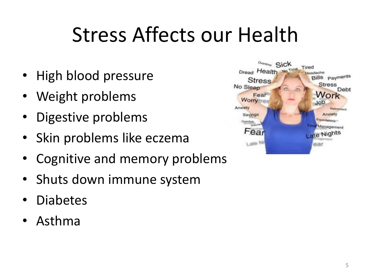# Stress Affects our Health

- High blood pressure
- Weight problems
- Digestive problems
- Skin problems like eczema
- Cognitive and memory problems
- Shuts down immune system
- Diabetes
- Asthma

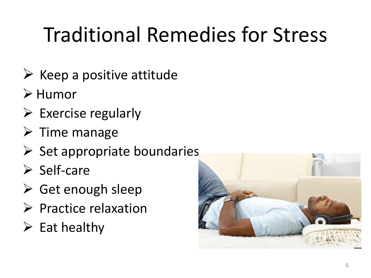# Traditional Remedies for Stress

- $\triangleright$  Keep a positive attitude
- ➢ Humor
- $\triangleright$  Exercise regularly
- $\triangleright$  Time manage
- $\triangleright$  Set appropriate boundaries
- ➢ Self-care
- $\triangleright$  Get enough sleep
- ➢ Practice relaxation
- $\triangleright$  Eat healthy

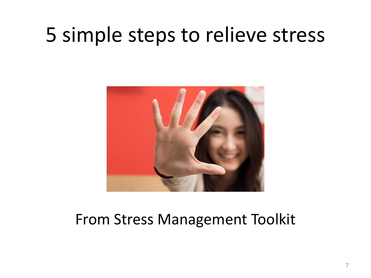## 5 simple steps to relieve stress



#### From Stress Management Toolkit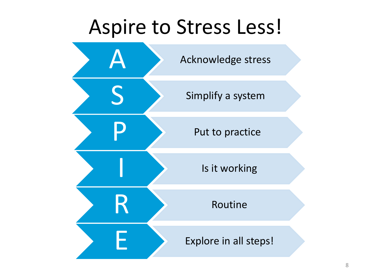### Aspire to Stress Less!

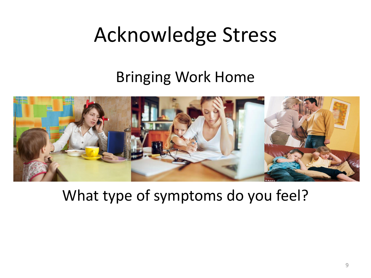# Acknowledge Stress

### Bringing Work Home



What type of symptoms do you feel?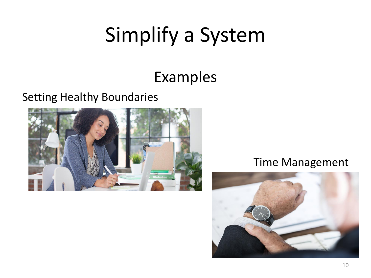# Simplify a System

### Examples

#### Setting Healthy Boundaries



#### Time Management

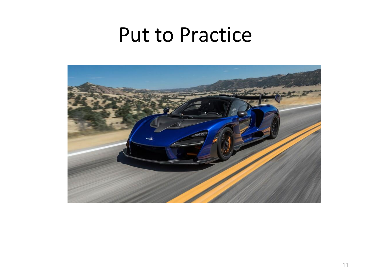### Put to Practice

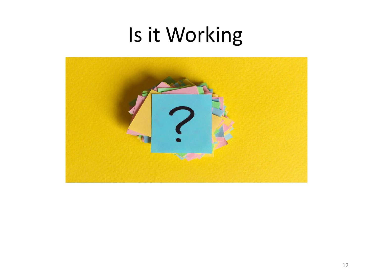## Is it Working

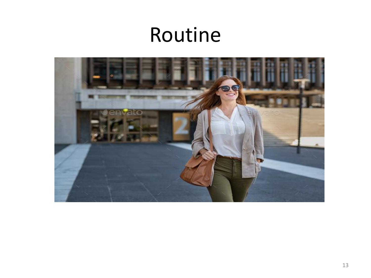### Routine

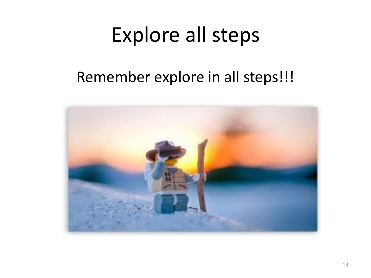## Explore all steps

#### Remember explore in all steps!!!

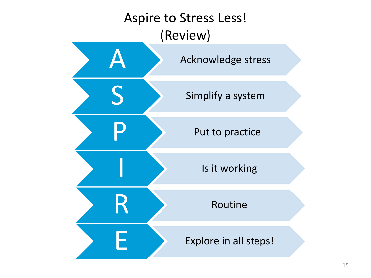